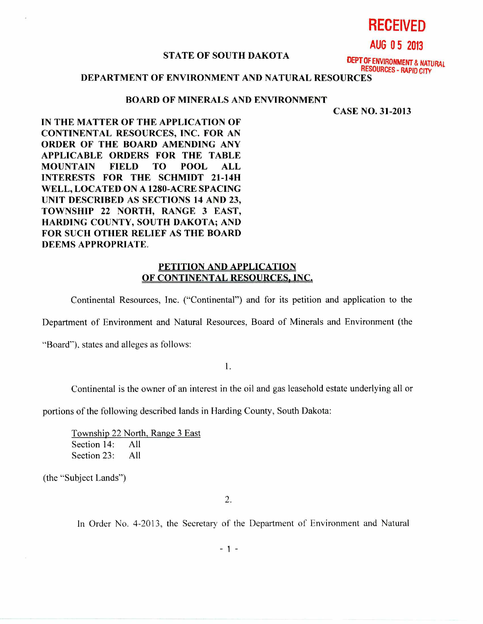**RECEIVED** 

**AUG 0 5 2013** 

## **STATE OF SOUTH DAKOTA**

**DEPT OF ENVIRONMENT & NATURAL RESOURCES - RAPID CITY** 

**DEPARTMENT OF ENVIRONMENT AND NATURAL RESOURCES** 

## **BOARD OF MINERALS AND ENVIRONMENT**

**CASE NO. 31-2013** 

**IN THE MATTER OF THE APPLICATION OF CONTINENTAL RESOURCES, INC. FOR AN ORDER OF THE BOARD AMENDING ANY APPLICABLE ORDERS FOR THE TABLE MOUNTAIN FIELD TO POOL ALL INTERESTS FOR THE SCHMIDT 21-14H WELL, LOCATED ON A 1280-ACRE SPACING UNIT DESCRIBED AS SECTIONS 14 AND 23, TOWNSHIP 22 NORTH, RANGE 3 EAST, HARDING COUNTY, SOUTH DAKOTA; AND FOR SUCH OTHER RELIEF AS THE BOARD DEEMS APPROPRIATE.** 

## **PETITION AND APPLICATION OF CONTINENTAL RESOURCES, INC.**

Continental Resources, Inc. ("Continental") and for its petition and application to the

Department of Environment and Natural Resources, Board of Minerals and Environment (the

"Board"), states and alleges as follows:

1.

Continental is the owner of an interest in the oil and gas leasehold estate underlying all or

portions of the following described lands in Harding County, South Dakota:

Township 22 North, Range 3 East Section 14: All Section 23: All

(the "Subject Lands")

 $2.$ 

In Order No. 4-2013, the Secretary of the Department of Environment and Natural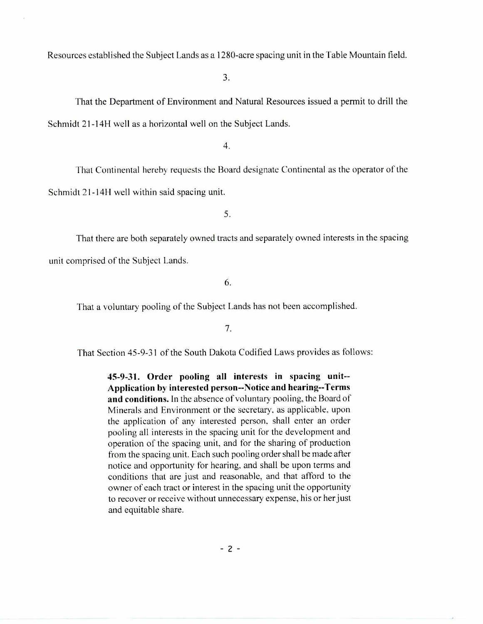Resources established the Subject Lands as a 1280-acre spacing unit in the Table Mountain field.

3.

That the Department of Environment and Natural Resources issued a permit to drill the Schmidt 21-14H well as a horizontal well on the Subject Lands.

4.

That Continental hereby requests the Board designate Continental as the operator of the Schmidt 21-14H well within said spacing unit.

5.

That there are both separately owned tracts and separately owned interests in the spacing unit comprised of the Subject Lands.

6.

That a voluntary pooling of the Subject Lands has not been accomplished.

7.

That Section 45-9-31 of the South Dakota Codified Laws provides as follows:

**45-9-31. Order pooling all interests in spacing unit-- Application by interested person--Notice and hearing--Terms and conditions.** In the absence of voluntary pooling, the Board of Minerals and Environment or the secretary, as applicable, upon the application of any interested person, shall enter an order pooling all interests in the spacing unit for the development and operation of the spacing unit, and for the sharing of production from the spacing unit. Each such pooling order shall be made after notice and opportunity for hearing, and shall be upon terms and conditions that are just and reasonable, and that afford to the owner of each tract or interest in the spacing unit the opportunity to recover or receive without unnecessary expense, his or her just and equitable share.

 $-2 -$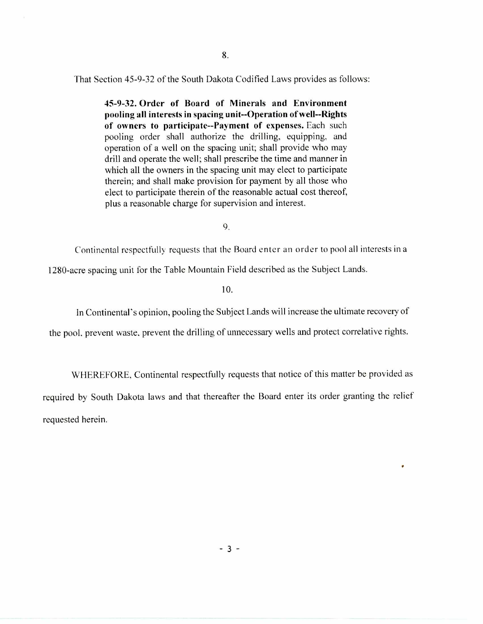That Section 45-9-32 of the South Dakota Codified Laws provides as follows:

**45-9-32. Order of Board of Minerals and Environment pooling all interests in spacing unit--Operation of well--Rights of owners to participate--Payment of expenses.** Each such pooling order shall authorize the drilling, equipping, and operation of a well on the spacing unit; shall provide who may drill and operate the well; shall prescribe the time and manner in which all the owners in the spacing unit may elect to participate therein; and shall make provision for payment by all those who elect to participate therein of the reasonable actual cost thereof, plus a reasonable charge for supervision and interest.

9.

Continental respectfully requests that the Board enter an order to pool all interests in a

1280-acre spacing unit for the Table Mountain Field described as the Subject Lands.

10.

In Continental's opinion, pooling the Subject Lands will increase the ultimate recovery of

the pool, prevent waste, prevent the drilling of unnecessary wells and protect correlative rights.

WHEREFORE, Continental respectfully requests that notice of this matter be provided as required by South Dakota laws and that thereafter the Board enter its order granting the relief requested herein.

•